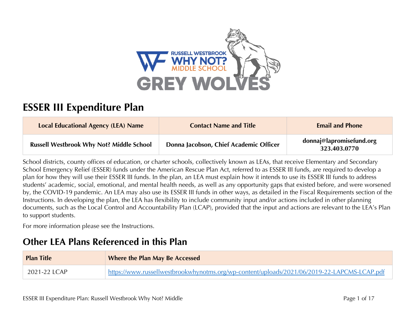

# **ESSER III Expenditure Plan**

| <b>Local Educational Agency (LEA) Name</b>      | <b>Contact Name and Title</b>          | <b>Email and Phone</b>                   |
|-------------------------------------------------|----------------------------------------|------------------------------------------|
| <b>Russell Westbrook Why Not? Middle School</b> | Donna Jacobson, Chief Academic Officer | donnaj@lapromisefund.org<br>323.403.0770 |

School districts, county offices of education, or charter schools, collectively known as LEAs, that receive Elementary and Secondary School Emergency Relief (ESSER) funds under the American Rescue Plan Act, referred to as ESSER III funds, are required to develop a plan for how they will use their ESSER III funds. In the plan, an LEA must explain how it intends to use its ESSER III funds to address students' academic, social, emotional, and mental health needs, as well as any opportunity gaps that existed before, and were worsened by, the COVID-19 pandemic. An LEA may also use its ESSER III funds in other ways, as detailed in the Fiscal Requirements section of the Instructions. In developing the plan, the LEA has flexibility to include community input and/or actions included in other planning documents, such as the Local Control and Accountability Plan (LCAP), provided that the input and actions are relevant to the LEA's Plan to support students.

For more information please see the Instructions.

# **Other LEA Plans Referenced in this Plan**

| <b>Plan Title</b> | <b>Where the Plan May Be Accessed</b>                                                       |
|-------------------|---------------------------------------------------------------------------------------------|
| 2021-22 LCAP      | https://www.russellwestbrookwhynotms.org/wp-content/uploads/2021/06/2019-22-LAPCMS-LCAP.pdf |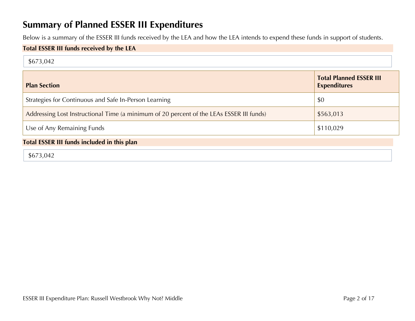# **Summary of Planned ESSER III Expenditures**

Below is a summary of the ESSER III funds received by the LEA and how the LEA intends to expend these funds in support of students.

### **Total ESSER III funds received by the LEA**

| \$673,042 |  |
|-----------|--|
|           |  |

| <b>Plan Section</b>                                                                      | <b>Total Planned ESSER III</b><br><b>Expenditures</b> |
|------------------------------------------------------------------------------------------|-------------------------------------------------------|
| Strategies for Continuous and Safe In-Person Learning                                    | \$0                                                   |
| Addressing Lost Instructional Time (a minimum of 20 percent of the LEAs ESSER III funds) | \$563,013                                             |
| Use of Any Remaining Funds                                                               | \$110,029                                             |

### **Total ESSER III funds included in this plan**

\$673,042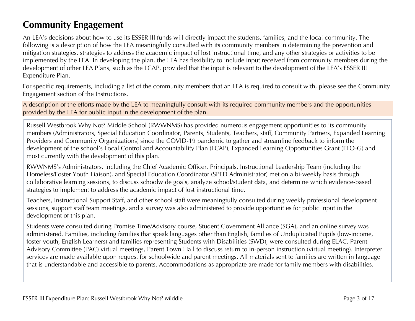# **Community Engagement**

An LEA's decisions about how to use its ESSER III funds will directly impact the students, families, and the local community. The following is a description of how the LEA meaningfully consulted with its community members in determining the prevention and mitigation strategies, strategies to address the academic impact of lost instructional time, and any other strategies or activities to be implemented by the LEA. In developing the plan, the LEA has flexibility to include input received from community members during the development of other LEA Plans, such as the LCAP, provided that the input is relevant to the development of the LEA's ESSER III Expenditure Plan.

For specific requirements, including a list of the community members that an LEA is required to consult with, please see the Community Engagement section of the Instructions.

A description of the efforts made by the LEA to meaningfully consult with its required community members and the opportunities provided by the LEA for public input in the development of the plan.

Russell Westbrook Why Not? Middle School (RWWNMS) has provided numerous engagement opportunities to its community members (Administrators, Special Education Coordinator, Parents, Students, Teachers, staff, Community Partners, Expanded Learning Providers and Community Organizations) since the COVID-19 pandemic to gather and streamline feedback to inform the development of the school's Local Control and Accountability Plan (LCAP), Expanded Learning Opportunities Grant (ELO-G) and most currently with the development of this plan.

RWWNMS's Administrators, including the Chief Academic Officer, Principals, Instructional Leadership Team (including the Homeless/Foster Youth Liaison), and Special Education Coordinator (SPED Administrator) met on a bi-weekly basis through collaborative learning sessions, to discuss schoolwide goals, analyze school/student data, and determine which evidence-based strategies to implement to address the academic impact of lost instructional time.

Teachers, Instructional Support Staff, and other school staff were meaningfully consulted during weekly professional development sessions, support staff team meetings, and a survey was also administered to provide opportunities for public input in the development of this plan.

Students were consulted during Promise Time/Advisory course, Student Government Alliance (SGA), and an online survey was administered. Families, including families that speak languages other than English, families of Unduplicated Pupils (low-income, foster youth, English Learners) and families representing Students with Disabilities (SWD), were consulted during ELAC, Parent Advisory Committee (PAC) virtual meetings, Parent Town Hall to discuss return to in-person instruction (virtual meeting). Interpreter services are made available upon request for schoolwide and parent meetings. All materials sent to families are written in language that is understandable and accessible to parents. Accommodations as appropriate are made for family members with disabilities.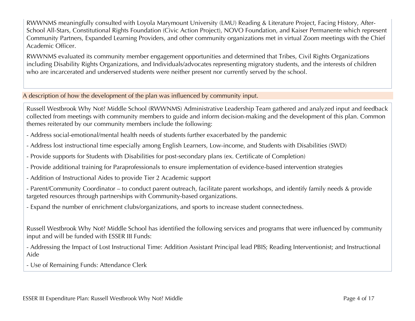RWWNMS meaningfully consulted with Loyola Marymount University (LMU) Reading & Literature Project, Facing History, After-School All-Stars, Constitutional Rights Foundation (Civic Action Project), NOVO Foundation, and Kaiser Permanente which represent Community Partners, Expanded Learning Providers, and other community organizations met in virtual Zoom meetings with the Chief Academic Officer.

RWWNMS evaluated its community member engagement opportunities and determined that Tribes, Civil Rights Organizations including Disability Rights Organizations, and Individuals/advocates representing migratory students, and the interests of children who are incarcerated and underserved students were neither present nor currently served by the school.

### A description of how the development of the plan was influenced by community input.

Russell Westbrook Why Not? Middle School (RWWNMS) Administrative Leadership Team gathered and analyzed input and feedback collected from meetings with community members to guide and inform decision-making and the development of this plan. Common themes reiterated by our community members include the following:

- Address social-emotional/mental health needs of students further exacerbated by the pandemic
- Address lost instructional time especially among English Learners, Low-income, and Students with Disabilities (SWD)
- Provide supports for Students with Disabilities for post-secondary plans (ex. Certificate of Completion)
- Provide additional training for Paraprofessionals to ensure implementation of evidence-based intervention strategies
- Addition of Instructional Aides to provide Tier 2 Academic support
- Parent/Community Coordinator to conduct parent outreach, facilitate parent workshops, and identify family needs & provide targeted resources through partnerships with Community-based organizations.
- Expand the number of enrichment clubs/organizations, and sports to increase student connectedness.

Russell Westbrook Why Not? Middle School has identified the following services and programs that were influenced by community input and will be funded with ESSER III Funds:

- Addressing the Impact of Lost Instructional Time: Addition Assistant Principal lead PBIS; Reading Interventionist; and Instructional Aide

- Use of Remaining Funds: Attendance Clerk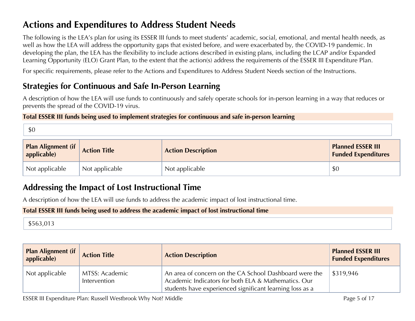# **Actions and Expenditures to Address Student Needs**

The following is the LEA's plan for using its ESSER III funds to meet students' academic, social, emotional, and mental health needs, as well as how the LEA will address the opportunity gaps that existed before, and were exacerbated by, the COVID-19 pandemic. In developing the plan, the LEA has the flexibility to include actions described in existing plans, including the LCAP and/or Expanded Learning Opportunity (ELO) Grant Plan, to the extent that the action(s) address the requirements of the ESSER III Expenditure Plan.

For specific requirements, please refer to the Actions and Expenditures to Address Student Needs section of the Instructions.

## **Strategies for Continuous and Safe In-Person Learning**

A description of how the LEA will use funds to continuously and safely operate schools for in-person learning in a way that reduces or prevents the spread of the COVID-19 virus.

### **Total ESSER III funds being used to implement strategies for continuous and safe in-person learning**

| <b>Plan Alignment (if</b><br>applicable) | <b>Action Title</b> | <b>Action Description</b> | <b>Planned ESSER III</b><br><b>Funded Expenditures</b> |
|------------------------------------------|---------------------|---------------------------|--------------------------------------------------------|
| Not applicable                           | Not applicable      | Not applicable            | \$0                                                    |

## **Addressing the Impact of Lost Instructional Time**

A description of how the LEA will use funds to address the academic impact of lost instructional time.

### **Total ESSER III funds being used to address the academic impact of lost instructional time**

## \$563,013

| <b>Plan Alignment (if</b><br>applicable) | <b>Action Title</b>            | <b>Action Description</b>                                                                                                                                                 | <b>Planned ESSER III</b><br><b>Funded Expenditures</b> |
|------------------------------------------|--------------------------------|---------------------------------------------------------------------------------------------------------------------------------------------------------------------------|--------------------------------------------------------|
| Not applicable                           | MTSS: Academic<br>Intervention | An area of concern on the CA School Dashboard were the<br>Academic Indicators for both ELA & Mathematics. Our<br>students have experienced significant learning loss as a | \$319,946                                              |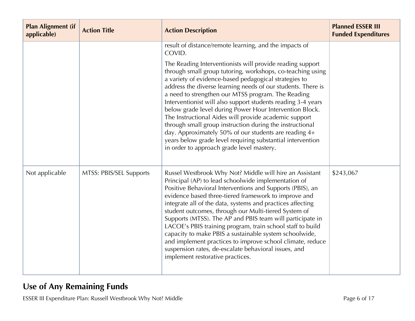| <b>Plan Alignment (if</b><br>applicable) | <b>Action Title</b>     | <b>Action Description</b>                                                                                                                                                                                                                                                                                                                                                                                                                                                                                                                                                                                                                                                                                                  | <b>Planned ESSER III</b><br><b>Funded Expenditures</b> |
|------------------------------------------|-------------------------|----------------------------------------------------------------------------------------------------------------------------------------------------------------------------------------------------------------------------------------------------------------------------------------------------------------------------------------------------------------------------------------------------------------------------------------------------------------------------------------------------------------------------------------------------------------------------------------------------------------------------------------------------------------------------------------------------------------------------|--------------------------------------------------------|
|                                          |                         | result of distance/remote learning, and the impacts of<br>COVID.                                                                                                                                                                                                                                                                                                                                                                                                                                                                                                                                                                                                                                                           |                                                        |
|                                          |                         | The Reading Interventionists will provide reading support<br>through small group tutoring, workshops, co-teaching using<br>a variety of evidence-based pedagogical strategies to<br>address the diverse learning needs of our students. There is<br>a need to strengthen our MTSS program. The Reading<br>Interventionist will also support students reading 3-4 years<br>below grade level during Power Hour Intervention Block.<br>The Instructional Aides will provide academic support<br>through small group instruction during the instructional<br>day. Approximately 50% of our students are reading 4+<br>years below grade level requiring substantial intervention<br>in order to approach grade level mastery. |                                                        |
| Not applicable                           | MTSS: PBIS/SEL Supports | Russel Westbrook Why Not? Middle will hire an Assistant<br>Principal (AP) to lead schoolwide implementation of<br>Positive Behavioral Interventions and Supports (PBIS), an<br>evidence based three-tiered framework to improve and<br>integrate all of the data, systems and practices affecting<br>student outcomes, through our Multi-tiered System of<br>Supports (MTSS). The AP and PBIS team will participate in<br>LACOE's PBIS training program, train school staff to build<br>capacity to make PBIS a sustainable system schoolwide,<br>and implement practices to improve school climate, reduce<br>suspension rates, de-escalate behavioral issues, and<br>implement restorative practices.                    | \$243,067                                              |

# **Use of Any Remaining Funds**

ESSER III Expenditure Plan: Russell Westbrook Why Not? Middle Page 6 of 17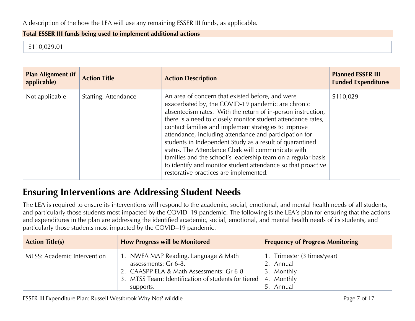#### **Total ESSER III funds being used to implement additional actions**

\$110,029.01

| <b>Plan Alignment (if</b><br>applicable) | <b>Action Title</b>  | <b>Action Description</b>                                                                                                                                                                                                                                                                                                                                                                                                                                                                                                                                                                                                                           | <b>Planned ESSER III</b><br><b>Funded Expenditures</b> |
|------------------------------------------|----------------------|-----------------------------------------------------------------------------------------------------------------------------------------------------------------------------------------------------------------------------------------------------------------------------------------------------------------------------------------------------------------------------------------------------------------------------------------------------------------------------------------------------------------------------------------------------------------------------------------------------------------------------------------------------|--------------------------------------------------------|
| Not applicable                           | Staffing: Attendance | An area of concern that existed before, and were<br>exacerbated by, the COVID-19 pandemic are chronic<br>absenteeism rates. With the return of in-person instruction,<br>there is a need to closely monitor student attendance rates,<br>contact families and implement strategies to improve<br>attendance, including attendance and participation for<br>students in Independent Study as a result of quarantined<br>status. The Attendance Clerk will communicate with<br>families and the school's leadership team on a regular basis<br>to identify and monitor student attendance so that proactive<br>restorative practices are implemented. | \$110,029                                              |

# **Ensuring Interventions are Addressing Student Needs**

The LEA is required to ensure its interventions will respond to the academic, social, emotional, and mental health needs of all students, and particularly those students most impacted by the COVID–19 pandemic. The following is the LEA's plan for ensuring that the actions and expenditures in the plan are addressing the identified academic, social, emotional, and mental health needs of its students, and particularly those students most impacted by the COVID–19 pandemic.

| <b>Action Title(s)</b>      | <b>How Progress will be Monitored</b>                                                                                                                                        | <b>Frequency of Progress Monitoring</b>                                           |
|-----------------------------|------------------------------------------------------------------------------------------------------------------------------------------------------------------------------|-----------------------------------------------------------------------------------|
| MTSS: Academic Intervention | 1. NWEA MAP Reading, Language & Math<br>assessments: Gr 6-8.<br>2. CAASPP ELA & Math Assessments: Gr 6-8<br>3. MTSS Team: Identification of students for tiered<br>supports. | 1. Trimester (3 times/year)<br>2. Annual<br>3. Monthly<br>4. Monthly<br>5. Annual |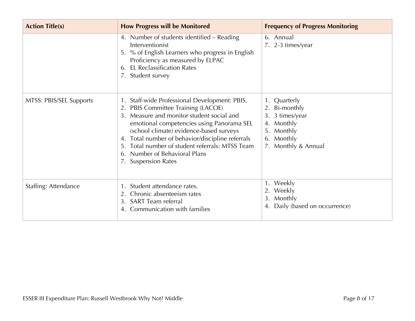| <b>Action Title(s)</b>  | <b>How Progress will be Monitored</b>                                                                                                                                                                                                                                                                                                                                                        | <b>Frequency of Progress Monitoring</b>                                                                           |
|-------------------------|----------------------------------------------------------------------------------------------------------------------------------------------------------------------------------------------------------------------------------------------------------------------------------------------------------------------------------------------------------------------------------------------|-------------------------------------------------------------------------------------------------------------------|
|                         | 4. Number of students identified - Reading<br>Interventionist<br>5. % of English Learners who progress in English<br>Proficiency as measured by ELPAC<br><b>EL Reclassification Rates</b><br>6.<br>7. Student survey                                                                                                                                                                         | 6. Annual<br>7. 2-3 times/year                                                                                    |
| MTSS: PBIS/SEL Supports | Staff-wide Professional Development: PBIS.<br>PBIS Committee Training (LACOE)<br>Measure and monitor student social and<br>$\mathcal{E}$<br>emotional competencies using Panorama SEL<br>(school climate) evidence-based surveys<br>Total number of behavior/discipline referrals<br>Total number of student referrals: MTSS Team<br>Number of Behavioral Plans<br>6.<br>7. Suspension Rates | 1. Quarterly<br>2. Bi-monthly<br>3. 3 times/year<br>4. Monthly<br>5. Monthly<br>6. Monthly<br>7. Monthly & Annual |
| Staffing: Attendance    | Student attendance rates.<br>Chronic absenteeism rates<br>2.<br><b>SART</b> Team referral<br>3.<br>Communication with families<br>4.                                                                                                                                                                                                                                                         | 1. Weekly<br>2. Weekly<br>3. Monthly<br>Daily (based on occurrence)                                               |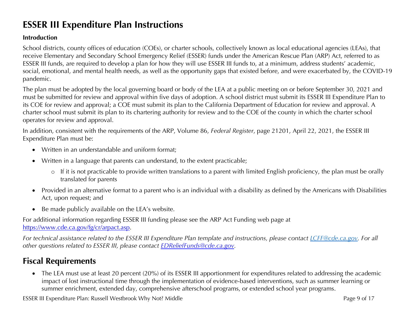# **ESSER III Expenditure Plan Instructions**

### **Introduction**

School districts, county offices of education (COEs), or charter schools, collectively known as local educational agencies (LEAs), that receive Elementary and Secondary School Emergency Relief (ESSER) funds under the American Rescue Plan (ARP) Act, referred to as ESSER III funds, are required to develop a plan for how they will use ESSER III funds to, at a minimum, address students' academic, social, emotional, and mental health needs, as well as the opportunity gaps that existed before, and were exacerbated by, the COVID-19 pandemic.

The plan must be adopted by the local governing board or body of the LEA at a public meeting on or before September 30, 2021 and must be submitted for review and approval within five days of adoption. A school district must submit its ESSER III Expenditure Plan to its COE for review and approval; a COE must submit its plan to the California Department of Education for review and approval. A charter school must submit its plan to its chartering authority for review and to the COE of the county in which the charter school operates for review and approval.

In addition, consistent with the requirements of the ARP, Volume 86, *Federal Register*, page 21201, April 22, 2021, the ESSER III Expenditure Plan must be:

- Written in an understandable and uniform format;
- Written in a language that parents can understand, to the extent practicable;
	- o If it is not practicable to provide written translations to a parent with limited English proficiency, the plan must be orally translated for parents
- Provided in an alternative format to a parent who is an individual with a disability as defined by the Americans with Disabilities Act, upon request; and
- Be made publicly available on the LEA's website.

For additional information regarding ESSER III funding please see the ARP Act Funding web page at https://www.cde.ca.gov/fg/cr/arpact.asp.

*For technical assistance related to the ESSER III Expenditure Plan template and instructions, please contact LCFF@cde.ca.gov. For all other questions related to ESSER III, please contact EDReliefFunds@cde.ca.gov.* 

## **Fiscal Requirements**

• The LEA must use at least 20 percent (20%) of its ESSER III apportionment for expenditures related to addressing the academic impact of lost instructional time through the implementation of evidence-based interventions, such as summer learning or summer enrichment, extended day, comprehensive afterschool programs, or extended school year programs.

ESSER III Expenditure Plan: Russell Westbrook Why Not? Middle Page 9 of 17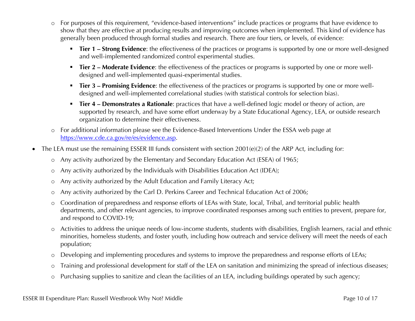- o For purposes of this requirement, "evidence-based interventions" include practices or programs that have evidence to show that they are effective at producing results and improving outcomes when implemented. This kind of evidence has generally been produced through formal studies and research. There are four tiers, or levels, of evidence:
	- **Tier 1 Strong Evidence**: the effectiveness of the practices or programs is supported by one or more well-designed and well-implemented randomized control experimental studies.
	- **Tier 2 Moderate Evidence**: the effectiveness of the practices or programs is supported by one or more welldesigned and well-implemented quasi-experimental studies.
	- § **Tier 3 – Promising Evidence**: the effectiveness of the practices or programs is supported by one or more welldesigned and well-implemented correlational studies (with statistical controls for selection bias).
	- § **Tier 4 – Demonstrates a Rationale**: practices that have a well-defined logic model or theory of action, are supported by research, and have some effort underway by a State Educational Agency, LEA, or outside research organization to determine their effectiveness.
- o For additional information please see the Evidence-Based Interventions Under the ESSA web page at https://www.cde.ca.gov/re/es/evidence.asp.
- The LEA must use the remaining ESSER III funds consistent with section 2001(e)(2) of the ARP Act, including for:
	- o Any activity authorized by the Elementary and Secondary Education Act (ESEA) of 1965;
	- o Any activity authorized by the Individuals with Disabilities Education Act (IDEA);
	- o Any activity authorized by the Adult Education and Family Literacy Act;
	- o Any activity authorized by the Carl D. Perkins Career and Technical Education Act of 2006;
	- o Coordination of preparedness and response efforts of LEAs with State, local, Tribal, and territorial public health departments, and other relevant agencies, to improve coordinated responses among such entities to prevent, prepare for, and respond to COVID-19;
	- o Activities to address the unique needs of low-income students, students with disabilities, English learners, racial and ethnic minorities, homeless students, and foster youth, including how outreach and service delivery will meet the needs of each population;
	- o Developing and implementing procedures and systems to improve the preparedness and response efforts of LEAs;
	- o Training and professional development for staff of the LEA on sanitation and minimizing the spread of infectious diseases;
	- o Purchasing supplies to sanitize and clean the facilities of an LEA, including buildings operated by such agency;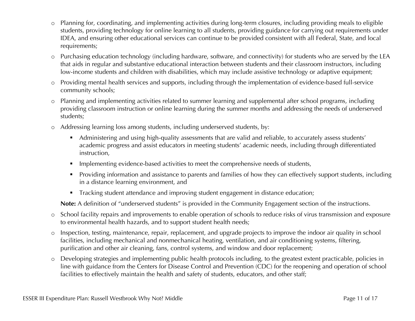- o Planning for, coordinating, and implementing activities during long-term closures, including providing meals to eligible students, providing technology for online learning to all students, providing guidance for carrying out requirements under IDEA, and ensuring other educational services can continue to be provided consistent with all Federal, State, and local requirements;
- o Purchasing education technology (including hardware, software, and connectivity) for students who are served by the LEA that aids in regular and substantive educational interaction between students and their classroom instructors, including low-income students and children with disabilities, which may include assistive technology or adaptive equipment;
- o Providing mental health services and supports, including through the implementation of evidence-based full-service community schools;
- o Planning and implementing activities related to summer learning and supplemental after school programs, including providing classroom instruction or online learning during the summer months and addressing the needs of underserved students;
- o Addressing learning loss among students, including underserved students, by:
	- Administering and using high-quality assessments that are valid and reliable, to accurately assess students' academic progress and assist educators in meeting students' academic needs, including through differentiated instruction,
	- **•** Implementing evidence-based activities to meet the comprehensive needs of students,
	- § Providing information and assistance to parents and families of how they can effectively support students, including in a distance learning environment, and
	- Tracking student attendance and improving student engagement in distance education;

**Note:** A definition of "underserved students" is provided in the Community Engagement section of the instructions.

- o School facility repairs and improvements to enable operation of schools to reduce risks of virus transmission and exposure to environmental health hazards, and to support student health needs;
- o Inspection, testing, maintenance, repair, replacement, and upgrade projects to improve the indoor air quality in school facilities, including mechanical and nonmechanical heating, ventilation, and air conditioning systems, filtering, purification and other air cleaning, fans, control systems, and window and door replacement;
- o Developing strategies and implementing public health protocols including, to the greatest extent practicable, policies in line with guidance from the Centers for Disease Control and Prevention (CDC) for the reopening and operation of school facilities to effectively maintain the health and safety of students, educators, and other staff;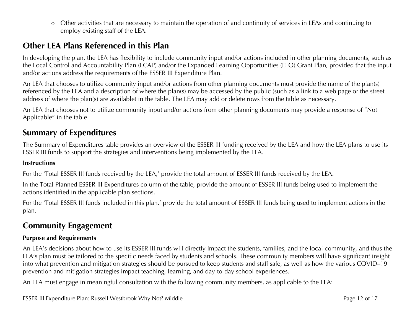o Other activities that are necessary to maintain the operation of and continuity of services in LEAs and continuing to employ existing staff of the LEA.

## **Other LEA Plans Referenced in this Plan**

In developing the plan, the LEA has flexibility to include community input and/or actions included in other planning documents, such as the Local Control and Accountability Plan (LCAP) and/or the Expanded Learning Opportunities (ELO) Grant Plan, provided that the input and/or actions address the requirements of the ESSER III Expenditure Plan.

An LEA that chooses to utilize community input and/or actions from other planning documents must provide the name of the plan(s) referenced by the LEA and a description of where the plan(s) may be accessed by the public (such as a link to a web page or the street address of where the plan(s) are available) in the table. The LEA may add or delete rows from the table as necessary.

An LEA that chooses not to utilize community input and/or actions from other planning documents may provide a response of "Not Applicable" in the table.

### **Summary of Expenditures**

The Summary of Expenditures table provides an overview of the ESSER III funding received by the LEA and how the LEA plans to use its ESSER III funds to support the strategies and interventions being implemented by the LEA.

#### **Instructions**

For the 'Total ESSER III funds received by the LEA,' provide the total amount of ESSER III funds received by the LEA.

In the Total Planned ESSER III Expenditures column of the table, provide the amount of ESSER III funds being used to implement the actions identified in the applicable plan sections.

For the 'Total ESSER III funds included in this plan,' provide the total amount of ESSER III funds being used to implement actions in the plan.

### **Community Engagement**

#### **Purpose and Requirements**

An LEA's decisions about how to use its ESSER III funds will directly impact the students, families, and the local community, and thus the LEA's plan must be tailored to the specific needs faced by students and schools. These community members will have significant insight into what prevention and mitigation strategies should be pursued to keep students and staff safe, as well as how the various COVID–19 prevention and mitigation strategies impact teaching, learning, and day-to-day school experiences.

An LEA must engage in meaningful consultation with the following community members, as applicable to the LEA:

ESSER III Expenditure Plan: Russell Westbrook Why Not? Middle Page 12 of 17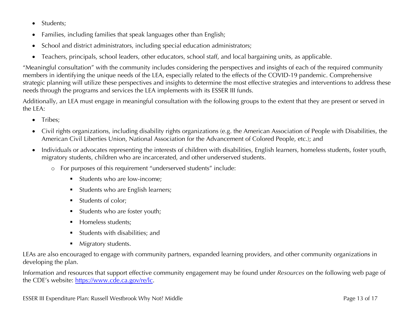- Students;
- Families, including families that speak languages other than English;
- School and district administrators, including special education administrators;
- Teachers, principals, school leaders, other educators, school staff, and local bargaining units, as applicable.

"Meaningful consultation" with the community includes considering the perspectives and insights of each of the required community members in identifying the unique needs of the LEA, especially related to the effects of the COVID-19 pandemic. Comprehensive strategic planning will utilize these perspectives and insights to determine the most effective strategies and interventions to address these needs through the programs and services the LEA implements with its ESSER III funds.

Additionally, an LEA must engage in meaningful consultation with the following groups to the extent that they are present or served in the LEA:

- Tribes:
- Civil rights organizations, including disability rights organizations (e.g. the American Association of People with Disabilities, the American Civil Liberties Union, National Association for the Advancement of Colored People, etc.); and
- Individuals or advocates representing the interests of children with disabilities, English learners, homeless students, foster youth, migratory students, children who are incarcerated, and other underserved students.
	- o For purposes of this requirement "underserved students" include:
		- Students who are low-income:
		- § Students who are English learners;
		- § Students of color;
		- § Students who are foster youth;
		- § Homeless students;
		- § Students with disabilities; and
		- Migratory students.

LEAs are also encouraged to engage with community partners, expanded learning providers, and other community organizations in developing the plan.

Information and resources that support effective community engagement may be found under *Resources* on the following web page of the CDE's website: https://www.cde.ca.gov/re/lc.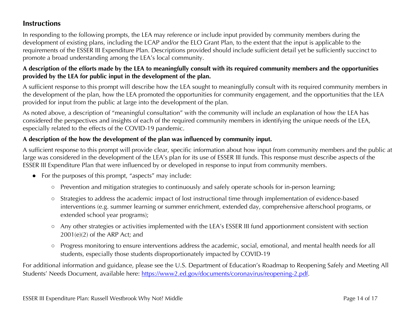### **Instructions**

In responding to the following prompts, the LEA may reference or include input provided by community members during the development of existing plans, including the LCAP and/or the ELO Grant Plan, to the extent that the input is applicable to the requirements of the ESSER III Expenditure Plan. Descriptions provided should include sufficient detail yet be sufficiently succinct to promote a broad understanding among the LEA's local community.

### **A description of the efforts made by the LEA to meaningfully consult with its required community members and the opportunities provided by the LEA for public input in the development of the plan.**

A sufficient response to this prompt will describe how the LEA sought to meaningfully consult with its required community members in the development of the plan, how the LEA promoted the opportunities for community engagement, and the opportunities that the LEA provided for input from the public at large into the development of the plan.

As noted above, a description of "meaningful consultation" with the community will include an explanation of how the LEA has considered the perspectives and insights of each of the required community members in identifying the unique needs of the LEA, especially related to the effects of the COVID-19 pandemic.

### **A description of the how the development of the plan was influenced by community input.**

A sufficient response to this prompt will provide clear, specific information about how input from community members and the public at large was considered in the development of the LEA's plan for its use of ESSER III funds. This response must describe aspects of the ESSER III Expenditure Plan that were influenced by or developed in response to input from community members.

- For the purposes of this prompt, "aspects" may include:
	- Prevention and mitigation strategies to continuously and safely operate schools for in-person learning;
	- Strategies to address the academic impact of lost instructional time through implementation of evidence-based interventions (e.g. summer learning or summer enrichment, extended day, comprehensive afterschool programs, or extended school year programs);
	- Any other strategies or activities implemented with the LEA's ESSER III fund apportionment consistent with section 2001(e)(2) of the ARP Act; and
	- Progress monitoring to ensure interventions address the academic, social, emotional, and mental health needs for all students, especially those students disproportionately impacted by COVID-19

For additional information and guidance, please see the U.S. Department of Education's Roadmap to Reopening Safely and Meeting All Students' Needs Document, available here: https://www2.ed.gov/documents/coronavirus/reopening-2.pdf.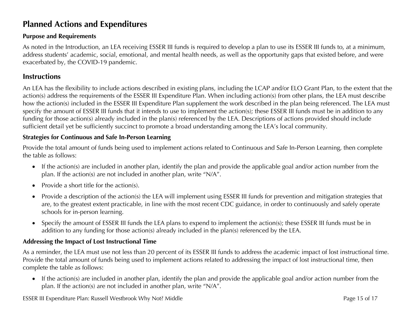## **Planned Actions and Expenditures**

### **Purpose and Requirements**

As noted in the Introduction, an LEA receiving ESSER III funds is required to develop a plan to use its ESSER III funds to, at a minimum, address students' academic, social, emotional, and mental health needs, as well as the opportunity gaps that existed before, and were exacerbated by, the COVID-19 pandemic.

### **Instructions**

An LEA has the flexibility to include actions described in existing plans, including the LCAP and/or ELO Grant Plan, to the extent that the action(s) address the requirements of the ESSER III Expenditure Plan. When including action(s) from other plans, the LEA must describe how the action(s) included in the ESSER III Expenditure Plan supplement the work described in the plan being referenced. The LEA must specify the amount of ESSER III funds that it intends to use to implement the action(s); these ESSER III funds must be in addition to any funding for those action(s) already included in the plan(s) referenced by the LEA. Descriptions of actions provided should include sufficient detail yet be sufficiently succinct to promote a broad understanding among the LEA's local community.

#### **Strategies for Continuous and Safe In-Person Learning**

Provide the total amount of funds being used to implement actions related to Continuous and Safe In-Person Learning, then complete the table as follows:

- If the action(s) are included in another plan, identify the plan and provide the applicable goal and/or action number from the plan. If the action(s) are not included in another plan, write "N/A".
- Provide a short title for the action(s).
- Provide a description of the action(s) the LEA will implement using ESSER III funds for prevention and mitigation strategies that are, to the greatest extent practicable, in line with the most recent CDC guidance, in order to continuously and safely operate schools for in-person learning.
- Specify the amount of ESSER III funds the LEA plans to expend to implement the action(s); these ESSER III funds must be in addition to any funding for those action(s) already included in the plan(s) referenced by the LEA.

### **Addressing the Impact of Lost Instructional Time**

As a reminder, the LEA must use not less than 20 percent of its ESSER III funds to address the academic impact of lost instructional time. Provide the total amount of funds being used to implement actions related to addressing the impact of lost instructional time, then complete the table as follows:

• If the action(s) are included in another plan, identify the plan and provide the applicable goal and/or action number from the plan. If the action(s) are not included in another plan, write "N/A".

ESSER III Expenditure Plan: Russell Westbrook Why Not? Middle Page 15 of 17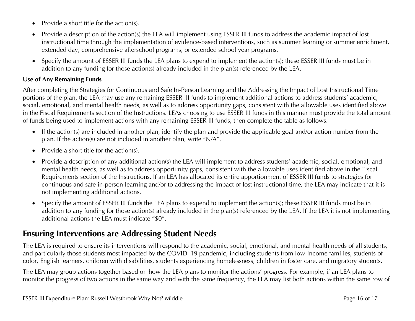- Provide a short title for the action(s).
- Provide a description of the action(s) the LEA will implement using ESSER III funds to address the academic impact of lost instructional time through the implementation of evidence-based interventions, such as summer learning or summer enrichment, extended day, comprehensive afterschool programs, or extended school year programs.
- Specify the amount of ESSER III funds the LEA plans to expend to implement the action(s); these ESSER III funds must be in addition to any funding for those action(s) already included in the plan(s) referenced by the LEA.

### **Use of Any Remaining Funds**

After completing the Strategies for Continuous and Safe In-Person Learning and the Addressing the Impact of Lost Instructional Time portions of the plan, the LEA may use any remaining ESSER III funds to implement additional actions to address students' academic, social, emotional, and mental health needs, as well as to address opportunity gaps, consistent with the allowable uses identified above in the Fiscal Requirements section of the Instructions. LEAs choosing to use ESSER III funds in this manner must provide the total amount of funds being used to implement actions with any remaining ESSER III funds, then complete the table as follows:

- If the action(s) are included in another plan, identify the plan and provide the applicable goal and/or action number from the plan. If the action(s) are not included in another plan, write "N/A".
- Provide a short title for the action(s).
- Provide a description of any additional action(s) the LEA will implement to address students' academic, social, emotional, and mental health needs, as well as to address opportunity gaps, consistent with the allowable uses identified above in the Fiscal Requirements section of the Instructions. If an LEA has allocated its entire apportionment of ESSER III funds to strategies for continuous and safe in-person learning and/or to addressing the impact of lost instructional time, the LEA may indicate that it is not implementing additional actions.
- Specify the amount of ESSER III funds the LEA plans to expend to implement the action(s); these ESSER III funds must be in addition to any funding for those action(s) already included in the plan(s) referenced by the LEA. If the LEA it is not implementing additional actions the LEA must indicate "\$0".

### **Ensuring Interventions are Addressing Student Needs**

The LEA is required to ensure its interventions will respond to the academic, social, emotional, and mental health needs of all students, and particularly those students most impacted by the COVID–19 pandemic, including students from low-income families, students of color, English learners, children with disabilities, students experiencing homelessness, children in foster care, and migratory students.

The LEA may group actions together based on how the LEA plans to monitor the actions' progress. For example, if an LEA plans to monitor the progress of two actions in the same way and with the same frequency, the LEA may list both actions within the same row of